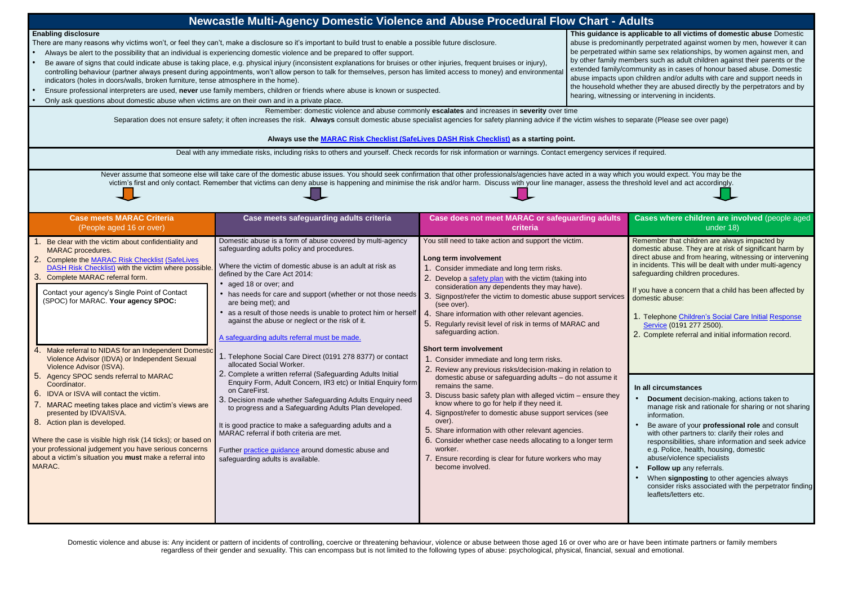| Newcastle Multi-Agency Domestic Violence and Abuse Procedural Flow Chart - Adults                                                                                                                                                                                                                                                                                                                                                                                                                                                                                                                                                                                                                                                                                                                                                                                                                                                                                                           |                                                                                                                                                                                                                                                                                                                                                                                                                                                                                                                                                                                                                                                                                                                                                                                                                                                                                                                                                                                                                                                                                                                             |                                                                                                                                                                                                                                                                                                                                                                                                                                                                                                                                                                                                                                                                                                                                                                                                                                                                                                                                                                                                                                         |  |                                                                                                                                                                                                                                                                                                                                                                                                                                                                                                                                                                                                                                                                                                                                                                                                                                                                                                                                                                                                                                                      |  |  |  |
|---------------------------------------------------------------------------------------------------------------------------------------------------------------------------------------------------------------------------------------------------------------------------------------------------------------------------------------------------------------------------------------------------------------------------------------------------------------------------------------------------------------------------------------------------------------------------------------------------------------------------------------------------------------------------------------------------------------------------------------------------------------------------------------------------------------------------------------------------------------------------------------------------------------------------------------------------------------------------------------------|-----------------------------------------------------------------------------------------------------------------------------------------------------------------------------------------------------------------------------------------------------------------------------------------------------------------------------------------------------------------------------------------------------------------------------------------------------------------------------------------------------------------------------------------------------------------------------------------------------------------------------------------------------------------------------------------------------------------------------------------------------------------------------------------------------------------------------------------------------------------------------------------------------------------------------------------------------------------------------------------------------------------------------------------------------------------------------------------------------------------------------|-----------------------------------------------------------------------------------------------------------------------------------------------------------------------------------------------------------------------------------------------------------------------------------------------------------------------------------------------------------------------------------------------------------------------------------------------------------------------------------------------------------------------------------------------------------------------------------------------------------------------------------------------------------------------------------------------------------------------------------------------------------------------------------------------------------------------------------------------------------------------------------------------------------------------------------------------------------------------------------------------------------------------------------------|--|------------------------------------------------------------------------------------------------------------------------------------------------------------------------------------------------------------------------------------------------------------------------------------------------------------------------------------------------------------------------------------------------------------------------------------------------------------------------------------------------------------------------------------------------------------------------------------------------------------------------------------------------------------------------------------------------------------------------------------------------------------------------------------------------------------------------------------------------------------------------------------------------------------------------------------------------------------------------------------------------------------------------------------------------------|--|--|--|
| <b>Enabling disclosure</b><br>There are many reasons why victims won't, or feel they can't, make a disclosure so it's important to build trust to enable a possible future disclosure.<br>Always be alert to the possibility that an individual is experiencing domestic violence and be prepared to offer support.<br>Be aware of signs that could indicate abuse is taking place, e.g. physical injury (inconsistent explanations for bruises or other injuries, frequent bruises or injury),<br>controlling behaviour (partner always present during appointments, won't allow person to talk for themselves, person has limited access to money) and environmenta<br>indicators (holes in doors/walls, broken furniture, tense atmosphere in the home).<br>Ensure professional interpreters are used, never use family members, children or friends where abuse is known or suspected.<br>Only ask questions about domestic abuse when victims are on their own and in a private place. | This guidance is applicable to all victims of domestic abuse Domestic<br>abuse is predominantly perpetrated against women by men, however it can<br>be perpetrated within same sex relationships, by women against men, and<br>by other family members such as adult children against their parents or the<br>extended family/community as in cases of honour based abuse. Domestic<br>abuse impacts upon children and/or adults with care and support needs in<br>the household whether they are abused directly by the perpetrators and by<br>hearing, witnessing or intervening in incidents.                                                                                                                                                                                                                                                                                                                                                                                                                                                                                                                            |                                                                                                                                                                                                                                                                                                                                                                                                                                                                                                                                                                                                                                                                                                                                                                                                                                                                                                                                                                                                                                         |  |                                                                                                                                                                                                                                                                                                                                                                                                                                                                                                                                                                                                                                                                                                                                                                                                                                                                                                                                                                                                                                                      |  |  |  |
| Remember: domestic violence and abuse commonly escalates and increases in severity over time<br>Separation does not ensure safety; it often increases the risk. Always consult domestic abuse specialist agencies for safety planning advice if the victim wishes to separate (Please see over page)<br>Always use the MARAC Risk Checklist (SafeLives DASH Risk Checklist) as a starting point.                                                                                                                                                                                                                                                                                                                                                                                                                                                                                                                                                                                            |                                                                                                                                                                                                                                                                                                                                                                                                                                                                                                                                                                                                                                                                                                                                                                                                                                                                                                                                                                                                                                                                                                                             |                                                                                                                                                                                                                                                                                                                                                                                                                                                                                                                                                                                                                                                                                                                                                                                                                                                                                                                                                                                                                                         |  |                                                                                                                                                                                                                                                                                                                                                                                                                                                                                                                                                                                                                                                                                                                                                                                                                                                                                                                                                                                                                                                      |  |  |  |
| Deal with any immediate risks, including risks to others and yourself. Check records for risk information or warnings. Contact emergency services if required.                                                                                                                                                                                                                                                                                                                                                                                                                                                                                                                                                                                                                                                                                                                                                                                                                              |                                                                                                                                                                                                                                                                                                                                                                                                                                                                                                                                                                                                                                                                                                                                                                                                                                                                                                                                                                                                                                                                                                                             |                                                                                                                                                                                                                                                                                                                                                                                                                                                                                                                                                                                                                                                                                                                                                                                                                                                                                                                                                                                                                                         |  |                                                                                                                                                                                                                                                                                                                                                                                                                                                                                                                                                                                                                                                                                                                                                                                                                                                                                                                                                                                                                                                      |  |  |  |
| Never assume that someone else will take care of the domestic abuse issues. You should seek confirmation that other professionals/agencies have acted in a way which you would expect. You may be the<br>victim's first and only contact. Remember that victims can deny abuse is happening and minimise the risk and/or harm. Discuss with your line manager, assess the threshold level and act accordingly.                                                                                                                                                                                                                                                                                                                                                                                                                                                                                                                                                                              |                                                                                                                                                                                                                                                                                                                                                                                                                                                                                                                                                                                                                                                                                                                                                                                                                                                                                                                                                                                                                                                                                                                             |                                                                                                                                                                                                                                                                                                                                                                                                                                                                                                                                                                                                                                                                                                                                                                                                                                                                                                                                                                                                                                         |  |                                                                                                                                                                                                                                                                                                                                                                                                                                                                                                                                                                                                                                                                                                                                                                                                                                                                                                                                                                                                                                                      |  |  |  |
| <b>Case meets MARAC Criteria</b><br>(People aged 16 or over)                                                                                                                                                                                                                                                                                                                                                                                                                                                                                                                                                                                                                                                                                                                                                                                                                                                                                                                                | Case meets safeguarding adults criteria                                                                                                                                                                                                                                                                                                                                                                                                                                                                                                                                                                                                                                                                                                                                                                                                                                                                                                                                                                                                                                                                                     | Case does not meet MARAC or safeguarding adults<br>criteria                                                                                                                                                                                                                                                                                                                                                                                                                                                                                                                                                                                                                                                                                                                                                                                                                                                                                                                                                                             |  | Cases where children are involved (people aged<br>under 18)                                                                                                                                                                                                                                                                                                                                                                                                                                                                                                                                                                                                                                                                                                                                                                                                                                                                                                                                                                                          |  |  |  |
| Be clear with the victim about confidentiality and<br><b>MARAC</b> procedures.<br>Complete the MARAC Risk Checklist (SafeLives<br>2.<br><b>DASH Risk Checklist) with the victim where possible</b><br>3. Complete MARAC referral form.<br>Contact your agency's Single Point of Contact<br>(SPOC) for MARAC. Your agency SPOC:<br>Make referral to NIDAS for an Independent Domestic<br>Violence Advisor (IDVA) or Independent Sexual<br>Violence Advisor (ISVA).<br>Agency SPOC sends referral to MARAC<br>Coordinator.<br>6.<br>IDVA or ISVA will contact the victim.<br>MARAC meeting takes place and victim's views are<br>presented by IDVA/ISVA.<br>8. Action plan is developed.<br>Where the case is visible high risk (14 ticks); or based on<br>your professional judgement you have serious concerns<br>about a victim's situation you must make a referral into<br>MARAC.                                                                                                        | Domestic abuse is a form of abuse covered by multi-agency<br>safeguarding adults policy and procedures.<br>Where the victim of domestic abuse is an adult at risk as<br>defined by the Care Act 2014:<br>aged 18 or over; and<br>has needs for care and support (whether or not those needs 3. Signpost/refer the victim to domestic abuse support services<br>are being met); and<br>as a result of those needs is unable to protect him or herself<br>against the abuse or neglect or the risk of it.<br>A safeguarding adults referral must be made.<br>1. Telephone Social Care Direct (0191 278 8377) or contact<br>allocated Social Worker.<br>2. Complete a written referral (Safeguarding Adults Initial<br>Enquiry Form, Adult Concern, IR3 etc) or Initial Enquiry form<br>on CareFirst.<br>3. Decision made whether Safeguarding Adults Enquiry need<br>to progress and a Safeguarding Adults Plan developed.<br>It is good practice to make a safeguarding adults and a<br>MARAC referral if both criteria are met.<br>Further practice guidance around domestic abuse and<br>safeguarding adults is available. | You still need to take action and support the victim.<br>Long term involvement<br>1. Consider immediate and long term risks.<br>2. Develop a safety plan with the victim (taking into<br>consideration any dependents they may have).<br>(see over).<br>4.<br>. Share information with other relevant agencies.<br>5. Regularly revisit level of risk in terms of MARAC and<br>safeguarding action.<br><b>Short term involvement</b><br>1. Consider immediate and long term risks.<br>2. Review any previous risks/decision-making in relation to<br>domestic abuse or safeguarding adults - do not assume it<br>remains the same.<br>3. Discuss basic safety plan with alleged victim - ensure they<br>know where to go for help if they need it.<br>4. Signpost/refer to domestic abuse support services (see<br>over).<br>5. Share information with other relevant agencies.<br>6. Consider whether case needs allocating to a longer term<br>worker.<br>7. Ensure recording is clear for future workers who may<br>become involved. |  | Remember that children are always impacted by<br>domestic abuse. They are at risk of significant harm by<br>direct abuse and from hearing, witnessing or intervening<br>in incidents. This will be dealt with under multi-agency<br>safeguarding children procedures.<br>If you have a concern that a child has been affected by<br>domestic abuse:<br>1. Telephone Children's Social Care Initial Response<br>Service (0191 277 2500).<br>2. Complete referral and initial information record.<br>In all circumstances<br><b>Document</b> decision-making, actions taken to<br>manage risk and rationale for sharing or not sharing<br>information.<br>Be aware of your professional role and consult<br>with other partners to: clarify their roles and<br>responsibilities, share information and seek advice<br>e.g. Police, health, housing, domestic<br>abuse/violence specialists<br>Follow up any referrals.<br>When signposting to other agencies always<br>consider risks associated with the perpetrator finding<br>leaflets/letters etc. |  |  |  |

Domestic violence and abuse is: Any incident or pattern of incidents of controlling, coercive or threatening behaviour, violence or abuse between those aged 16 or over who are or have been intimate partners or family members regardless of their gender and sexuality. This can encompass but is not limited to the following types of abuse: psychological, physical, financial, sexual and emotional.

- 
-